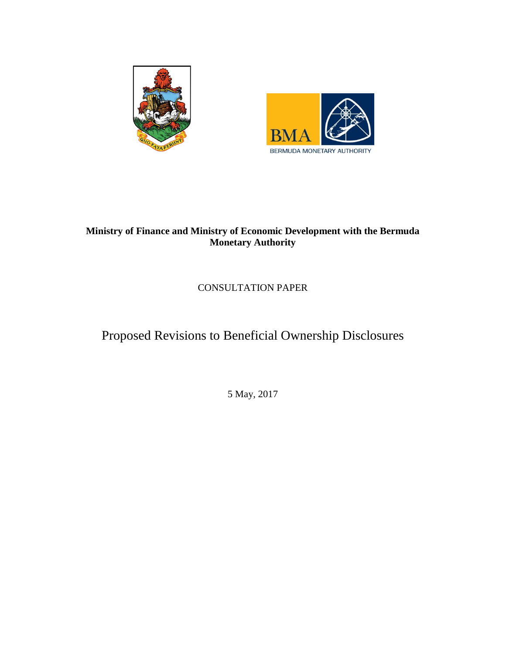



# **Ministry of Finance and Ministry of Economic Development with the Bermuda Monetary Authority**

CONSULTATION PAPER

Proposed Revisions to Beneficial Ownership Disclosures

5 May, 2017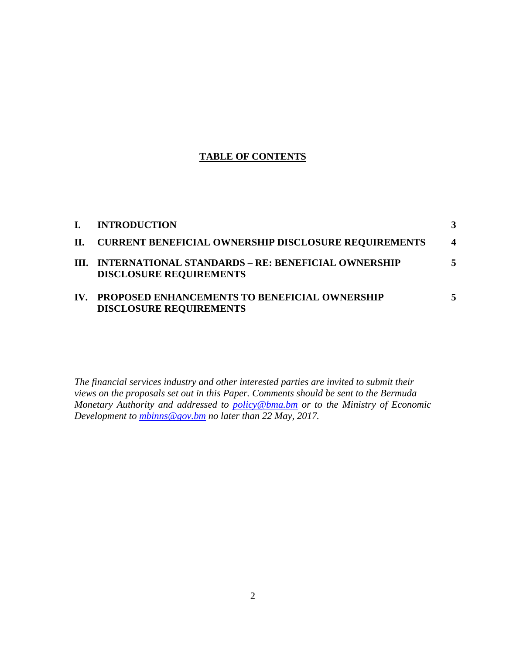## **TABLE OF CONTENTS**

| L.  | <b>INTRODUCTION</b>                                                                       |                  |
|-----|-------------------------------------------------------------------------------------------|------------------|
|     | II. CURRENT BENEFICIAL OWNERSHIP DISCLOSURE REQUIREMENTS                                  | $\boldsymbol{4}$ |
|     | III. INTERNATIONAL STANDARDS - RE: BENEFICIAL OWNERSHIP<br><b>DISCLOSURE REQUIREMENTS</b> |                  |
| IV. | PROPOSED ENHANCEMENTS TO BENEFICIAL OWNERSHIP<br><b>DISCLOSURE REQUIREMENTS</b>           |                  |

*The financial services industry and other interested parties are invited to submit their views on the proposals set out in this Paper. Comments should be sent to the Bermuda Monetary Authority and addressed to policy@bma.bm or to the Ministry of Economic Development to [mbinns@gov.bm](mailto:mbinns@gov.bm) no later than 22 May, 2017.*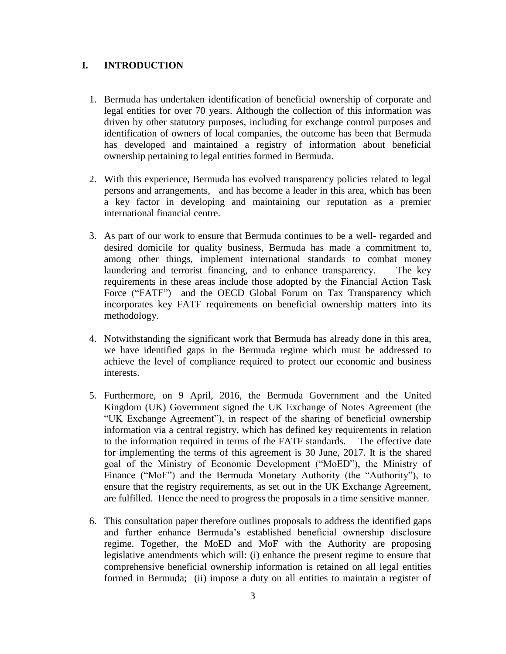#### **I. INTRODUCTION**

- 1. Bermuda has undertaken identification of beneficial ownership of corporate and legal entities for over 70 years. Although the collection of this information was driven by other statutory purposes, including for exchange control purposes and identification of owners of local companies, the outcome has been that Bermuda has developed and maintained a registry of information about beneficial ownership pertaining to legal entities formed in Bermuda.
- 2. With this experience, Bermuda has evolved transparency policies related to legal persons and arrangements, and has become a leader in this area, which has been a key factor in developing and maintaining our reputation as a premier international financial centre.
- 3. As part of our work to ensure that Bermuda continues to be a well- regarded and desired domicile for quality business, Bermuda has made a commitment to, among other things, implement international standards to combat money laundering and terrorist financing, and to enhance transparency. The key requirements in these areas include those adopted by the Financial Action Task Force ("FATF") and the OECD Global Forum on Tax Transparency which incorporates key FATF requirements on beneficial ownership matters into its methodology.
- 4. Notwithstanding the significant work that Bermuda has already done in this area, we have identified gaps in the Bermuda regime which must be addressed to achieve the level of compliance required to protect our economic and business interests.
- 5. Furthermore, on 9 April, 2016, the Bermuda Government and the United Kingdom (UK) Government signed the UK Exchange of Notes Agreement (the "UK Exchange Agreement"), in respect of the sharing of beneficial ownership information via a central registry, which has defined key requirements in relation to the information required in terms of the FATF standards. The effective date for implementing the terms of this agreement is 30 June, 2017. It is the shared goal of the Ministry of Economic Development ("MoED"), the Ministry of Finance ("MoF") and the Bermuda Monetary Authority (the "Authority"), to ensure that the registry requirements, as set out in the UK Exchange Agreement, are fulfilled. Hence the need to progress the proposals in a time sensitive manner.
- 6. This consultation paper therefore outlines proposals to address the identified gaps and further enhance Bermuda's established beneficial ownership disclosure regime. Together, the MoED and MoF with the Authority are proposing legislative amendments which will: (i) enhance the present regime to ensure that comprehensive beneficial ownership information is retained on all legal entities formed in Bermuda; (ii) impose a duty on all entities to maintain a register of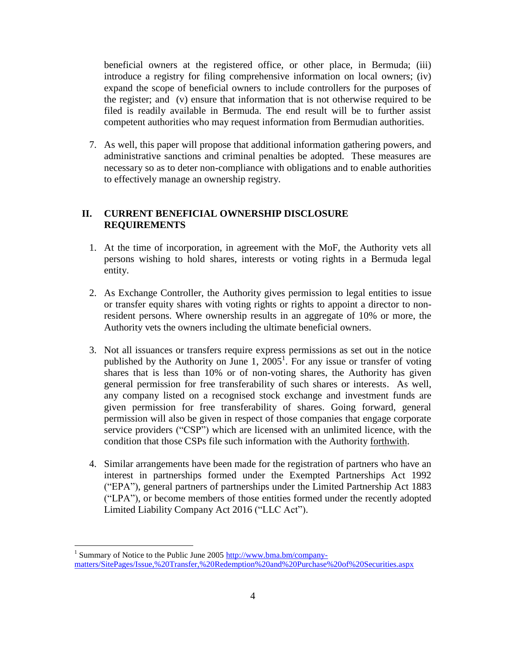beneficial owners at the registered office, or other place, in Bermuda; (iii) introduce a registry for filing comprehensive information on local owners; (iv) expand the scope of beneficial owners to include controllers for the purposes of the register; and (v) ensure that information that is not otherwise required to be filed is readily available in Bermuda. The end result will be to further assist competent authorities who may request information from Bermudian authorities.

7. As well, this paper will propose that additional information gathering powers, and administrative sanctions and criminal penalties be adopted. These measures are necessary so as to deter non-compliance with obligations and to enable authorities to effectively manage an ownership registry.

### **II. CURRENT BENEFICIAL OWNERSHIP DISCLOSURE REQUIREMENTS**

- 1. At the time of incorporation, in agreement with the MoF, the Authority vets all persons wishing to hold shares, interests or voting rights in a Bermuda legal entity.
- 2. As Exchange Controller, the Authority gives permission to legal entities to issue or transfer equity shares with voting rights or rights to appoint a director to nonresident persons. Where ownership results in an aggregate of 10% or more, the Authority vets the owners including the ultimate beneficial owners.
- 3. Not all issuances or transfers require express permissions as set out in the notice published by the Authority on June 1,  $2005^1$ . For any issue or transfer of voting shares that is less than 10% or of non-voting shares, the Authority has given general permission for free transferability of such shares or interests. As well, any company listed on a recognised stock exchange and investment funds are given permission for free transferability of shares. Going forward, general permission will also be given in respect of those companies that engage corporate service providers ("CSP") which are licensed with an unlimited licence, with the condition that those CSPs file such information with the Authority forthwith.
- 4. Similar arrangements have been made for the registration of partners who have an interest in partnerships formed under the Exempted Partnerships Act 1992 ("EPA"), general partners of partnerships under the Limited Partnership Act 1883 ("LPA"), or become members of those entities formed under the recently adopted Limited Liability Company Act 2016 ("LLC Act").

 $\overline{a}$ 

<sup>&</sup>lt;sup>1</sup> Summary of Notice to the Public June 2005 [http://www.bma.bm/company](http://www.bma.bm/company-matters/SitePages/Issue,%20Transfer,%20Redemption%20and%20Purchase%20of%20Securities.aspx)[matters/SitePages/Issue,%20Transfer,%20Redemption%20and%20Purchase%20of%20Securities.aspx](http://www.bma.bm/company-matters/SitePages/Issue,%20Transfer,%20Redemption%20and%20Purchase%20of%20Securities.aspx)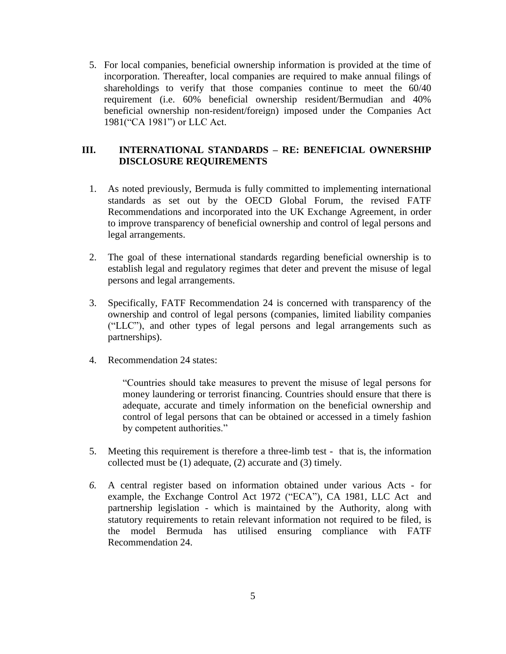5. For local companies, beneficial ownership information is provided at the time of incorporation. Thereafter, local companies are required to make annual filings of shareholdings to verify that those companies continue to meet the 60/40 requirement (i.e. 60% beneficial ownership resident/Bermudian and 40% beneficial ownership non-resident/foreign) imposed under the Companies Act 1981("CA 1981") or LLC Act.

### **III. INTERNATIONAL STANDARDS – RE: BENEFICIAL OWNERSHIP DISCLOSURE REQUIREMENTS**

- 1. As noted previously, Bermuda is fully committed to implementing international standards as set out by the OECD Global Forum, the revised FATF Recommendations and incorporated into the UK Exchange Agreement, in order to improve transparency of beneficial ownership and control of legal persons and legal arrangements.
- 2. The goal of these international standards regarding beneficial ownership is to establish legal and regulatory regimes that deter and prevent the misuse of legal persons and legal arrangements.
- 3. Specifically, FATF Recommendation 24 is concerned with transparency of the ownership and control of legal persons (companies, limited liability companies ("LLC"), and other types of legal persons and legal arrangements such as partnerships).
- 4. Recommendation 24 states:

"Countries should take measures to prevent the misuse of legal persons for money laundering or terrorist financing. Countries should ensure that there is adequate, accurate and timely information on the beneficial ownership and control of legal persons that can be obtained or accessed in a timely fashion by competent authorities."

- 5. Meeting this requirement is therefore a three-limb test that is, the information collected must be (1) adequate, (2) accurate and (3) timely.
- *6.* A central register based on information obtained under various Acts for example, the Exchange Control Act 1972 ("ECA"), CA 1981, LLC Act and partnership legislation - which is maintained by the Authority, along with statutory requirements to retain relevant information not required to be filed, is the model Bermuda has utilised ensuring compliance with FATF Recommendation 24.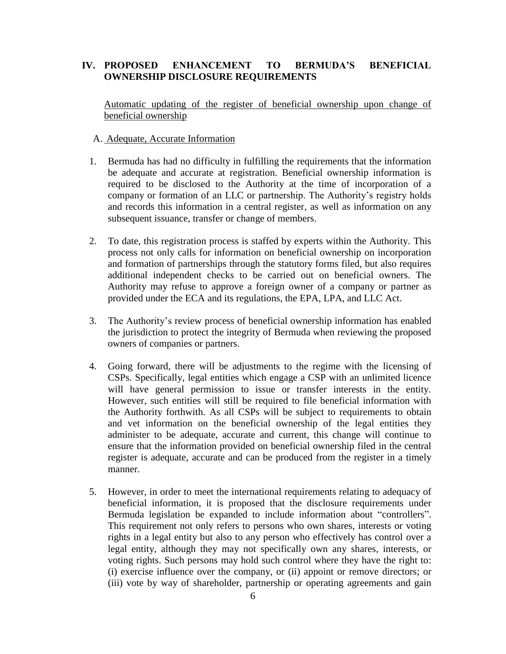#### **IV. PROPOSED ENHANCEMENT TO BERMUDA'S BENEFICIAL OWNERSHIP DISCLOSURE REQUIREMENTS**

Automatic updating of the register of beneficial ownership upon change of beneficial ownership

#### A. Adequate, Accurate Information

- 1. Bermuda has had no difficulty in fulfilling the requirements that the information be adequate and accurate at registration. Beneficial ownership information is required to be disclosed to the Authority at the time of incorporation of a company or formation of an LLC or partnership. The Authority's registry holds and records this information in a central register, as well as information on any subsequent issuance, transfer or change of members.
- 2. To date, this registration process is staffed by experts within the Authority. This process not only calls for information on beneficial ownership on incorporation and formation of partnerships through the statutory forms filed, but also requires additional independent checks to be carried out on beneficial owners. The Authority may refuse to approve a foreign owner of a company or partner as provided under the ECA and its regulations, the EPA, LPA, and LLC Act.
- 3. The Authority's review process of beneficial ownership information has enabled the jurisdiction to protect the integrity of Bermuda when reviewing the proposed owners of companies or partners.
- 4. Going forward, there will be adjustments to the regime with the licensing of CSPs. Specifically, legal entities which engage a CSP with an unlimited licence will have general permission to issue or transfer interests in the entity. However, such entities will still be required to file beneficial information with the Authority forthwith. As all CSPs will be subject to requirements to obtain and vet information on the beneficial ownership of the legal entities they administer to be adequate, accurate and current, this change will continue to ensure that the information provided on beneficial ownership filed in the central register is adequate, accurate and can be produced from the register in a timely manner.
- 5. However, in order to meet the international requirements relating to adequacy of beneficial information, it is proposed that the disclosure requirements under Bermuda legislation be expanded to include information about "controllers". This requirement not only refers to persons who own shares, interests or voting rights in a legal entity but also to any person who effectively has control over a legal entity, although they may not specifically own any shares, interests, or voting rights. Such persons may hold such control where they have the right to: (i) exercise influence over the company, or (ii) appoint or remove directors; or (iii) vote by way of shareholder, partnership or operating agreements and gain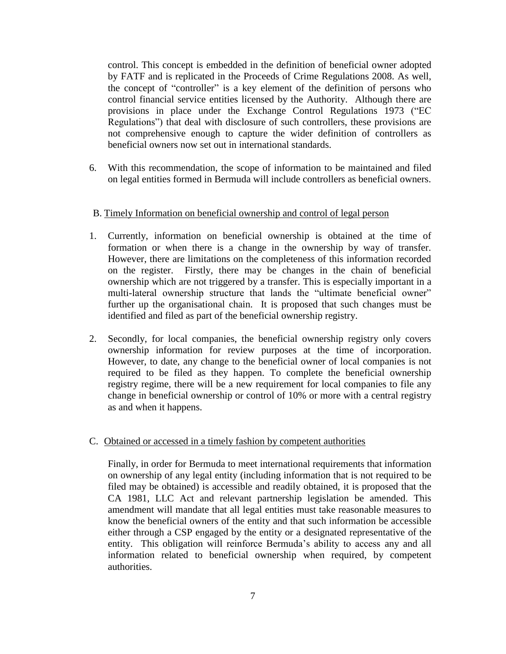control. This concept is embedded in the definition of beneficial owner adopted by FATF and is replicated in the Proceeds of Crime Regulations 2008. As well, the concept of "controller" is a key element of the definition of persons who control financial service entities licensed by the Authority. Although there are provisions in place under the Exchange Control Regulations 1973 ("EC Regulations") that deal with disclosure of such controllers, these provisions are not comprehensive enough to capture the wider definition of controllers as beneficial owners now set out in international standards.

6. With this recommendation, the scope of information to be maintained and filed on legal entities formed in Bermuda will include controllers as beneficial owners.

#### B. Timely Information on beneficial ownership and control of legal person

- 1. Currently, information on beneficial ownership is obtained at the time of formation or when there is a change in the ownership by way of transfer. However, there are limitations on the completeness of this information recorded on the register. Firstly, there may be changes in the chain of beneficial ownership which are not triggered by a transfer. This is especially important in a multi-lateral ownership structure that lands the "ultimate beneficial owner" further up the organisational chain. It is proposed that such changes must be identified and filed as part of the beneficial ownership registry.
- 2. Secondly, for local companies, the beneficial ownership registry only covers ownership information for review purposes at the time of incorporation. However, to date, any change to the beneficial owner of local companies is not required to be filed as they happen. To complete the beneficial ownership registry regime, there will be a new requirement for local companies to file any change in beneficial ownership or control of 10% or more with a central registry as and when it happens.
- C. Obtained or accessed in a timely fashion by competent authorities

Finally, in order for Bermuda to meet international requirements that information on ownership of any legal entity (including information that is not required to be filed may be obtained) is accessible and readily obtained, it is proposed that the CA 1981, LLC Act and relevant partnership legislation be amended. This amendment will mandate that all legal entities must take reasonable measures to know the beneficial owners of the entity and that such information be accessible either through a CSP engaged by the entity or a designated representative of the entity. This obligation will reinforce Bermuda's ability to access any and all information related to beneficial ownership when required, by competent authorities.